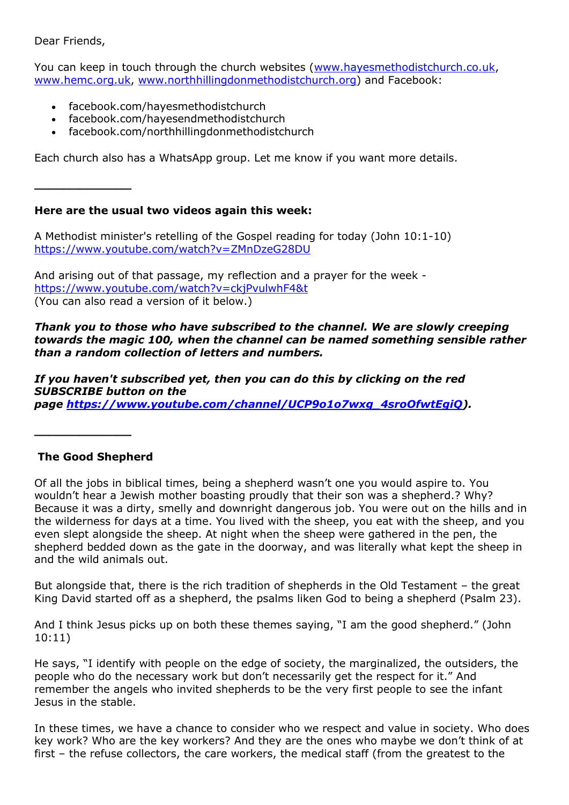Dear Friends,

You can keep in touch through the church websites [\(www.hayesmethodistchurch.co.uk,](http://www.hayesmethodistchurch.co.uk/) [www.hemc.org.uk,](http://www.hemc.org.uk/) [www.northhillingdonmethodistchurch.org\)](http://www.northhillingdonmethodistchurch.org/) and Facebook:

- facebook.com/hayesmethodistchurch
- facebook.com/hayesendmethodistchurch
- facebook.com/northhillingdonmethodistchurch

Each church also has a WhatsApp group. Let me know if you want more details.

**\_\_\_\_\_\_\_\_\_\_\_\_\_**

# **Here are the usual two videos again this week:**

A Methodist minister's retelling of the Gospel reading for today (John 10:1-10) <https://www.youtube.com/watch?v=ZMnDzeG28DU>

And arising out of that passage, my reflection and a prayer for the week <https://www.youtube.com/watch?v=ckjPvulwhF4&t> (You can also read a version of it below.)

## *Thank you to those who have subscribed to the channel. We are slowly creeping towards the magic 100, when the channel can be named something sensible rather than a random collection of letters and numbers.*

*If you haven't subscribed yet, then you can do this by clicking on the red SUBSCRIBE button on the page [https://www.youtube.com/channel/UCP9o1o7wxg\\_4sroOfwtEgiQ\)](https://www.youtube.com/channel/UCP9o1o7wxg_4sroOfwtEgiQ).*

# **The Good Shepherd**

**\_\_\_\_\_\_\_\_\_\_\_\_\_**

Of all the jobs in biblical times, being a shepherd wasn't one you would aspire to. You wouldn't hear a Jewish mother boasting proudly that their son was a shepherd.? Why? Because it was a dirty, smelly and downright dangerous job. You were out on the hills and in the wilderness for days at a time. You lived with the sheep, you eat with the sheep, and you even slept alongside the sheep. At night when the sheep were gathered in the pen, the shepherd bedded down as the gate in the doorway, and was literally what kept the sheep in and the wild animals out.

But alongside that, there is the rich tradition of shepherds in the Old Testament – the great King David started off as a shepherd, the psalms liken God to being a shepherd (Psalm 23).

And I think Jesus picks up on both these themes saying, "I am the good shepherd." (John 10:11)

He says, "I identify with people on the edge of society, the marginalized, the outsiders, the people who do the necessary work but don't necessarily get the respect for it." And remember the angels who invited shepherds to be the very first people to see the infant Jesus in the stable.

In these times, we have a chance to consider who we respect and value in society. Who does key work? Who are the key workers? And they are the ones who maybe we don't think of at first – the refuse collectors, the care workers, the medical staff (from the greatest to the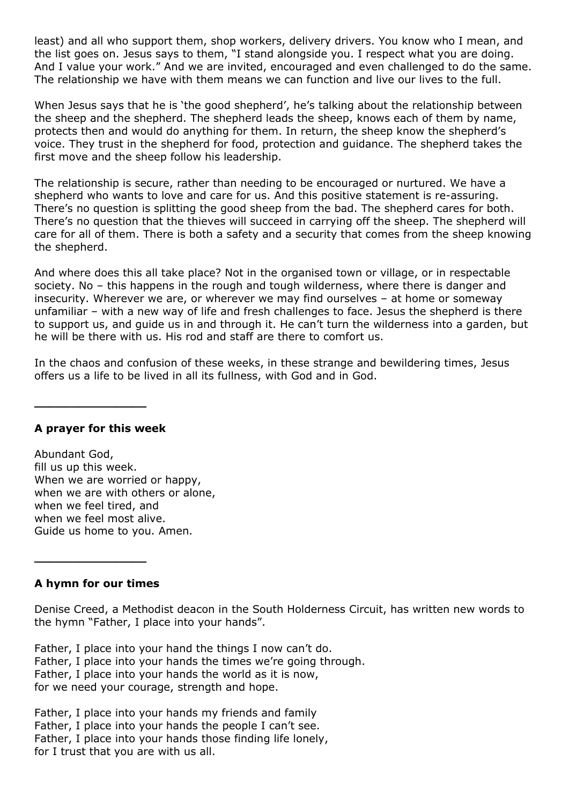least) and all who support them, shop workers, delivery drivers. You know who I mean, and the list goes on. Jesus says to them, "I stand alongside you. I respect what you are doing. And I value your work." And we are invited, encouraged and even challenged to do the same. The relationship we have with them means we can function and live our lives to the full.

When Jesus says that he is 'the good shepherd', he's talking about the relationship between the sheep and the shepherd. The shepherd leads the sheep, knows each of them by name, protects then and would do anything for them. In return, the sheep know the shepherd's voice. They trust in the shepherd for food, protection and guidance. The shepherd takes the first move and the sheep follow his leadership.

The relationship is secure, rather than needing to be encouraged or nurtured. We have a shepherd who wants to love and care for us. And this positive statement is re-assuring. There's no question is splitting the good sheep from the bad. The shepherd cares for both. There's no question that the thieves will succeed in carrying off the sheep. The shepherd will care for all of them. There is both a safety and a security that comes from the sheep knowing the shepherd.

And where does this all take place? Not in the organised town or village, or in respectable society. No – this happens in the rough and tough wilderness, where there is danger and insecurity. Wherever we are, or wherever we may find ourselves – at home or someway unfamiliar – with a new way of life and fresh challenges to face. Jesus the shepherd is there to support us, and guide us in and through it. He can't turn the wilderness into a garden, but he will be there with us. His rod and staff are there to comfort us.

In the chaos and confusion of these weeks, in these strange and bewildering times, Jesus offers us a life to be lived in all its fullness, with God and in God.

#### **A prayer for this week**

**\_\_\_\_\_\_\_\_\_\_\_\_\_\_\_**

Abundant God, fill us up this week. When we are worried or happy, when we are with others or alone, when we feel tired, and when we feel most alive. Guide us home to you. Amen.

#### **A hymn for our times**

**\_\_\_\_\_\_\_\_\_\_\_\_\_\_\_**

Denise Creed, a Methodist deacon in the South Holderness Circuit, has written new words to the hymn "Father, I place into your hands".

Father, I place into your hand the things I now can't do. Father, I place into your hands the times we're going through. Father, I place into your hands the world as it is now, for we need your courage, strength and hope.

Father, I place into your hands my friends and family Father, I place into your hands the people I can't see. Father, I place into your hands those finding life lonely, for I trust that you are with us all.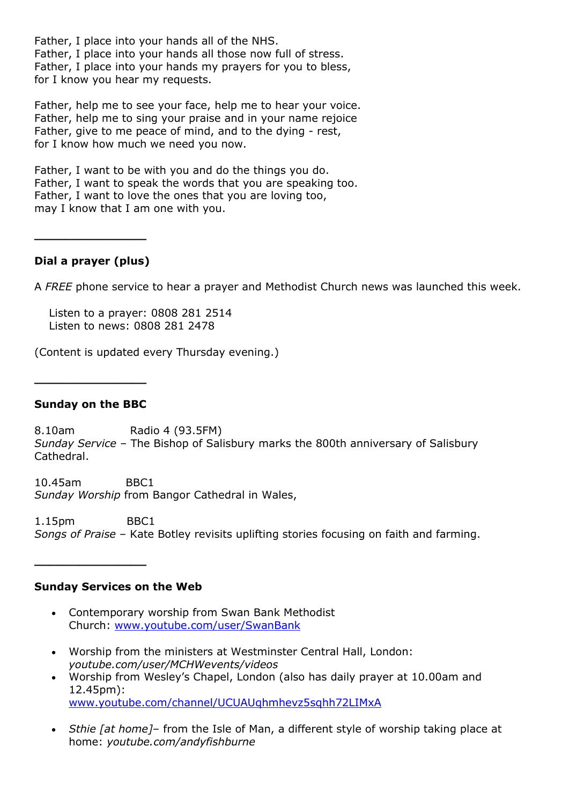Father, I place into your hands all of the NHS. Father, I place into your hands all those now full of stress. Father, I place into your hands my prayers for you to bless, for I know you hear my requests.

Father, help me to see your face, help me to hear your voice. Father, help me to sing your praise and in your name rejoice Father, give to me peace of mind, and to the dying - rest, for I know how much we need you now.

Father, I want to be with you and do the things you do. Father, I want to speak the words that you are speaking too. Father, I want to love the ones that you are loving too, may I know that I am one with you.

## **Dial a prayer (plus)**

**\_\_\_\_\_\_\_\_\_\_\_\_\_\_\_**

A *FREE* phone service to hear a prayer and Methodist Church news was launched this week.

 Listen to a prayer: 0808 281 2514 Listen to news: 0808 281 2478

(Content is updated every Thursday evening.)

#### **Sunday on the BBC**

**\_\_\_\_\_\_\_\_\_\_\_\_\_\_\_**

**\_\_\_\_\_\_\_\_\_\_\_\_\_\_\_**

8.10am Radio 4 (93.5FM) *Sunday Service* – The Bishop of Salisbury marks the 800th anniversary of Salisbury Cathedral.

10.45am BBC1 *Sunday Worship* from Bangor Cathedral in Wales,

1.15pm BBC1 *Songs of Praise* – Kate Botley revisits uplifting stories focusing on faith and farming.

#### **Sunday Services on the Web**

- Contemporary worship from Swan Bank Methodist Church: [www.youtube.com/user/SwanBank](http://www.youtube.com/user/SwanBank)
- Worship from the ministers at Westminster Central Hall, London: *youtube.com/user/MCHWevents/videos*
- Worship from Wesley's Chapel, London (also has daily prayer at 10.00am and 12.45pm): [www.youtube.com/channel/UCUAUqhmhevz5sqhh72LIMxA](http://www.youtube.com/channel/UCUAUqhmhevz5sqhh72LIMxA)
- *Sthie [at home]* from the Isle of Man, a different style of worship taking place at home: *youtube.com/andyfishburne*